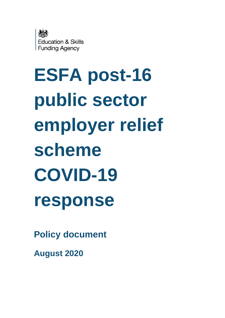

# **ESFA post-16 public sector employer relief scheme COVID-19 response**

**Policy document**

**August 2020**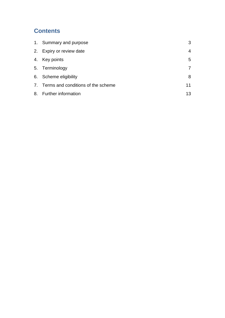#### **Contents**

| 1. Summary and purpose                | 3  |
|---------------------------------------|----|
| 2. Expiry or review date              | 4  |
| 4. Key points                         | 5  |
| 5. Terminology                        |    |
| 6. Scheme eligibility                 | 8  |
| 7. Terms and conditions of the scheme | 11 |
| 8. Further information                | 13 |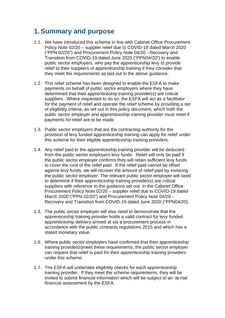#### <span id="page-2-0"></span>**1. Summary and purpose**

- 1.1. We have introduced this scheme in line with Cabinet Office Procurement Policy Note 02/20 – supplier relief due to COVID-19 dated March 2020 ("PPN 02/20") and Procurement Policy Note 04/20 - Recovery and Transition from COVID-19 dated June 2020 ("PPN04/20") to enable public sector employers, who pay the apprenticeship levy to provide relief to their suppliers of apprenticeship training if they consider that they meet the requirements as laid out in the above guidance.
- 1.2. This relief scheme has been designed to enable the ESFA to make payments on behalf of public sector employers where they have determined that their apprenticeship training provider(s) are critical suppliers. Where requested to do so, the ESFA will act as a facilitator for the payment of relief and operate the relief scheme by providing a set of eligibility criteria, as set out in this policy document, which both the public sector employer and apprenticeship training provider must meet if payments for relief are to be made.
- 1.3. Public sector employers that are the contracting authority for the provision of levy funded apprenticeship training can apply for relief under this scheme for their eligible apprenticeship training providers.
- 1.4. Any relief paid to the apprenticeship training provider will be deducted from the public sector employers levy funds. Relief will only be paid if the public sector employer confirms they will retain sufficient levy funds to cover the cost of the relief paid. If the relief paid cannot be offset against levy funds, we will recover the amount of relief paid by invoicing the public sector employer. The relevant public sector employer will need to determine if their apprenticeship training provider(s) are critical suppliers with reference to the guidance set out in the Cabinet Office Procurement Policy Note 02/20 – supplier relief due to COVID-19 dated March 2020 ("PPN 02/20") and Procurement Policy Note 04/20 - Recovery and Transition from COVID-19 dated June 2020 ("PPN04/20).
- 1.5. The public sector employer will also need to demonstrate that the apprenticeship training provider holds a valid contract for levy funded apprenticeship delivery arrived at via a procurement process in accordance with the public contracts regulations 2015 and which has a stated monetary value.
- 1.6. Where public sector employers have confirmed that their apprenticeship training provider(s)meet these requirements, the public sector employer can request that relief is paid for their apprenticeship training providers under this scheme.
- 1.7. The ESFA will undertake eligibility checks for each apprenticeship training provider. If they meet the scheme requirements, they will be invited to submit financial information which will be subject to an 'at-risk' financial assessment by the ESFA.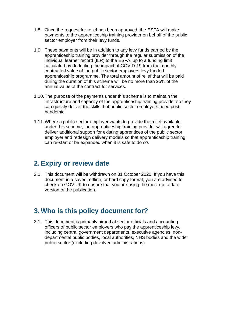- 1.8. Once the request for relief has been approved, the ESFA will make payments to the apprenticeship training provider on behalf of the public sector employer from their levy funds.
- 1.9. These payments will be in addition to any levy funds earned by the apprenticeship training provider through the regular submission of the individual learner record (ILR) to the ESFA, up to a funding limit calculated by deducting the impact of COVID-19 from the monthly contracted value of the public sector employers levy funded apprenticeship programme. The total amount of relief that will be paid during the duration of this scheme will be no more than 25% of the annual value of the contract for services.
- 1.10.The purpose of the payments under this scheme is to maintain the infrastructure and capacity of the apprenticeship training provider so they can quickly deliver the skills that public sector employers need postpandemic.
- 1.11.Where a public sector employer wants to provide the relief available under this scheme, the apprenticeship training provider will agree to deliver additional support for existing apprentices of the public sector employer and redesign delivery models so that apprenticeship training can re-start or be expanded when it is safe to do so.

#### <span id="page-3-0"></span>**2. Expiry or review date**

2.1. This document will be withdrawn on 31 October 2020. If you have this document in a saved, offline, or hard copy format, you are advised to check on GOV.UK to ensure that you are using the most up to date version of the publication.

#### **3. Who is this policy document for?**

3.1. This document is primarily aimed at senior officials and accounting officers of public sector employers who pay the apprenticeship levy, including central government departments, executive agencies, nondepartmental public bodies, local authorities, NHS bodies and the wider public sector (excluding devolved administrations).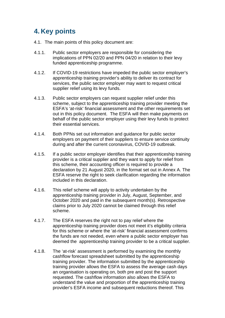## <span id="page-4-0"></span>**4. Key points**

- 4.1. The main points of this policy document are:
- 4.1.1. Public sector employers are responsible for considering the implications of PPN 02/20 and PPN 04/20 in relation to their levy funded apprenticeship programme.
- 4.1.2. If COVID-19 restrictions have impeded the public sector employer's apprenticeship training provider's ability to deliver its contract for services, the public sector employer may want to request critical supplier relief using its levy funds.
- 4.1.3. Public sector employers can request supplier relief under this scheme, subject to the apprenticeship training provider meeting the ESFA's 'at-risk' financial assessment and the other requirements set out in this policy document. The ESFA will then make payments on behalf of the public sector employer using their levy funds to protect their essential services.
- 4.1.4. Both PPNs set out information and guidance for public sector employers on payment of their suppliers to ensure service continuity during and after the current coronavirus, COVID-19 outbreak.
- 4.1.5. If a public sector employer identifies that their apprenticeship training provider is a critical supplier and they want to apply for relief from this scheme, their accounting officer is required to provide a declaration by 21 August 2020, in the format set out in Annex A. The ESFA reserve the right to seek clarification regarding the information included in this declaration.
- 4.1.6. This relief scheme will apply to activity undertaken by the apprenticeship training provider in July, August, September, and October 2020 and paid in the subsequent month(s). Retrospective claims prior to July 2020 cannot be claimed through this relief scheme.
- 4.1.7. The ESFA reserves the right not to pay relief where the apprenticeship training provider does not meet it's eligibility criteria for this scheme or where the 'at-risk' financial assessment confirms the funds are not needed, even where a public sector employer has deemed the apprenticeship training provider to be a critical supplier.
- 4.1.8. The 'at-risk' assessment is performed by examining the monthly cashflow forecast spreadsheet submitted by the apprenticeship training provider. The information submitted by the apprenticeship training provider allows the ESFA to assess the average cash days an organisation is operating on, both pre and post the support requested. The cashflow information also allows the ESFA to understand the value and proportion of the apprenticeship training provider's ESFA income and subsequent reductions thereof. This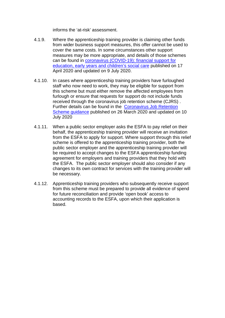informs the 'at-risk' assessment.

- 4.1.9. Where the apprenticeship training provider is claiming other funds from wider business support measures, this offer cannot be used to cover the same costs. In some circumstances other support measures may be more appropriate, and details of those schemes can be found in [coronavirus \(COVID-19\): financial support for](https://www.gov.uk/government/publications/coronavirus-covid-19-financial-support-for-education-early-years-and-childrens-social-care/coronavirus-covid-19-financial-support-for-education-early-years-and-childrens-social-care)  [education, early years and children's social care](https://www.gov.uk/government/publications/coronavirus-covid-19-financial-support-for-education-early-years-and-childrens-social-care/coronavirus-covid-19-financial-support-for-education-early-years-and-childrens-social-care) published on 17 April 2020 and updated on 9 July 2020.
- 4.1.10. In cases where apprenticeship training providers have furloughed staff who now need to work, they may be eligible for support from this scheme but must either remove the affected employees from furlough or ensure that requests for support do not include funds received through the coronavirus job retention scheme (CJRS). Further details can be found in the [Coronavirus Job Retention](https://www.gov.uk/guidance/claim-for-wage-costs-through-the-coronavirus-job-retention-scheme#before-you-claim)  [Scheme guidance](https://www.gov.uk/guidance/claim-for-wage-costs-through-the-coronavirus-job-retention-scheme#before-you-claim) published on 26 March 2020 and updated on 10 July 2020
- 4.1.11. When a public sector employer asks the ESFA to pay relief on their behalf, the apprenticeship training provider will receive an invitation from the ESFA to apply for support. Where support through this relief scheme is offered to the apprenticeship training provider, both the public sector employer and the apprenticeship training provider will be required to accept changes to the ESFA apprenticeship funding agreement for employers and training providers that they hold with the ESFA. The public sector employer should also consider if any changes to its own contract for services with the training provider will be necessary.
- 4.1.12. Apprenticeship training providers who subsequently receive support from this scheme must be prepared to provide all evidence of spend for future reconciliation and provide 'open book' access to accounting records to the ESFA, upon which their application is based.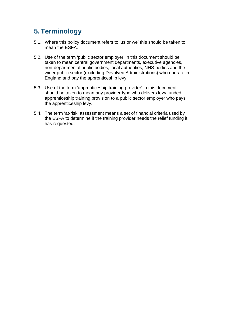## <span id="page-6-0"></span>**5. Terminology**

- 5.1. Where this policy document refers to 'us or we' this should be taken to mean the ESFA.
- 5.2. Use of the term 'public sector employer' in this document should be taken to mean central government departments, executive agencies, non-departmental public bodies, local authorities, NHS bodies and the wider public sector (excluding Devolved Administrations) who operate in England and pay the apprenticeship levy.
- 5.3. Use of the term 'apprenticeship training provider' in this document should be taken to mean any provider type who delivers levy funded apprenticeship training provision to a public sector employer who pays the apprenticeship levy.
- 5.4. The term 'at-risk' assessment means a set of financial criteria used by the ESFA to determine if the training provider needs the relief funding it has requested.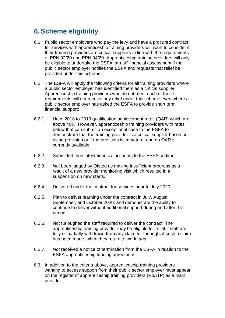## <span id="page-7-0"></span>**6. Scheme eligibility**

- 6.1. Public sector employers who pay the levy and have a procured contract for services with apprenticeship training providers will want to consider if their training providers are critical suppliers in line with the requirements of PPN 02/20 and PPN 04/20. Apprenticeship training providers will only be eligible to undertake the ESFA 'at-risk' financial assessment if the public sector employer notifies the ESFA and requests that relief be provided under this scheme.
- 6.2. The ESFA will apply the following criteria for all training providers where a public sector employer has identified them as a critical supplier. Apprenticeship training providers who do not meet each of these requirements will not receive any relief under this scheme even where a public sector employer has asked the ESFA to provide short term financial support:
- 6.2.1. Have 2018 to 2019 qualification achievement rates (QAR) which are above 40%. However, apprenticeship training providers with rates below that can submit an exceptional case to the ESFA to demonstrate that the training provider is a critical supplier based on niche provision or if the provision is immature, and no QAR is currently available.
- 6.2.2. Submitted their latest financial accounts to the ESFA on time.
- 6.2.3. *Not* been judged by Ofsted as making insufficient progress as a result of a new provider monitoring visit which resulted in a suspension on new starts.
- 6.2.4. Delivered under the contract for services prior to July 2020.
- 6.2.5. Plan to deliver learning under the contract in July, August, September, and October 2020; and demonstrate the ability to continue to deliver without additional support during and after this period.
- 6.2.6. Not furloughed the staff required to deliver the contract. The apprenticeship training provider may be eligible for relief if staff are fully or partially withdrawn from any claim for furlough, if such a claim has been made, when they return to work; *and*
- 6.2.7. *Not* received a notice of termination from the ESFA in relation to the ESFA apprenticeship funding agreement.
- 6.3. In addition to the criteria above, apprenticeship training providers wanting to access support from their public sector employer must appear on the register of apprenticeship training providers (RoATP) as a main provider.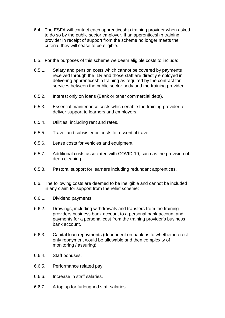- 6.4. The ESFA will contact each apprenticeship training provider when asked to do so by the public sector employer. If an apprenticeship training provider in receipt of support from the scheme no longer meets the criteria, they will cease to be eligible.
- 6.5. For the purposes of this scheme we deem eligible costs to include:
- 6.5.1. Salary and pension costs which cannot be covered by payments received through the ILR and those staff are directly employed in delivering apprenticeship training as required by the contract for services between the public sector body and the training provider.
- 6.5.2. Interest only on loans (Bank or other commercial debt).
- 6.5.3. Essential maintenance costs which enable the training provider to deliver support to learners and employers.
- 6.5.4. Utilities, including rent and rates.
- 6.5.5. Travel and subsistence costs for essential travel.
- 6.5.6. Lease costs for vehicles and equipment.
- 6.5.7. Additional costs associated with COVID-19, such as the provision of deep cleaning.
- 6.5.8. Pastoral support for learners including redundant apprentices.
- 6.6. The following costs are deemed to be ineligible and cannot be included in any claim for support from the relief scheme:
- 6.6.1. Dividend payments.
- 6.6.2. Drawings, including withdrawals and transfers from the training providers business bank account to a personal bank account and payments for a personal cost from the training provider's business bank account.
- 6.6.3. Capital loan repayments (dependent on bank as to whether interest only repayment would be allowable and then complexity of monitoring / assuring).
- 6.6.4. Staff bonuses.
- 6.6.5. Performance related pay.
- 6.6.6. Increase in staff salaries.
- 6.6.7. A top up for furloughed staff salaries.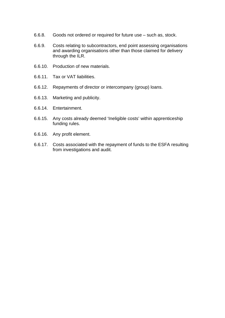- 6.6.8. Goods not ordered or required for future use such as, stock.
- 6.6.9. Costs relating to subcontractors, end point assessing organisations and awarding organisations other than those claimed for delivery through the ILR.
- 6.6.10. Production of new materials.
- 6.6.11. Tax or VAT liabilities.
- 6.6.12. Repayments of director or intercompany (group) loans.
- 6.6.13. Marketing and publicity.
- 6.6.14. Entertainment.
- 6.6.15. Any costs already deemed 'Ineligible costs' within apprenticeship funding rules.
- 6.6.16. Any profit element.
- 6.6.17. Costs associated with the repayment of funds to the ESFA resulting from investigations and audit.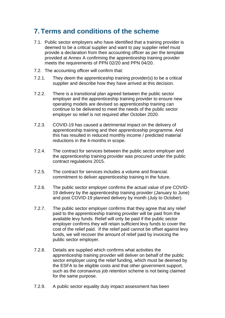#### <span id="page-10-0"></span>**7. Terms and conditions of the scheme**

- 7.1. Public sector employers who have identified that a training provider is deemed to be a critical supplier and want to pay supplier relief must provide a declaration from their accounting officer as per the template provided at Annex A confirming the apprenticeship training provider meets the requirements of PPN 02/20 and PPN 04/20.
- 7.2. The accounting officer will confirm that:
- 7.2.1. They deem the apprenticeship training provider(s) to be a critical supplier and describe how they have arrived at this decision.
- 7.2.2. There is a transitional plan agreed between the public sector employer and the apprenticeship training provider to ensure new operating models are devised so apprenticeship training can continue to be delivered to meet the needs of the public sector employer so relief is not required after October 2020.
- 7.2.3. COVID-19 has caused a detrimental impact on the delivery of apprenticeship training and their apprenticeship programme. And this has resulted in reduced monthly income / predicted material reductions in the 4-months in scope.
- 7.2.4. The contract for services between the public sector employer and the apprenticeship training provider was procured under the public contract regulations 2015.
- 7.2.5. The contract for services includes a volume and financial. commitment to deliver apprenticeship training in the future.
- 7.2.6. The public sector employer confirms the actual value of pre COVID-19 delivery by the apprenticeship training provider (January to June) and post COVID-19 planned delivery by month (July to October).
- 7.2.7. The public sector employer confirms that they agree that any relief paid to the apprenticeship training provider will be paid from the available levy funds. Relief will only be paid if the public sector employer confirms they will retain sufficient levy funds to cover the cost of the relief paid. If the relief paid cannot be offset against levy funds, we will recover the amount of relief paid by invoicing the public sector employer.
- 7.2.8. Details are supplied which confirms what activities the apprenticeship training provider will deliver on behalf of the public sector employer using the relief funding, which must be deemed by the ESFA to be eligible costs and that other government support, such as the coronavirus job retention scheme is not being claimed for the same purpose.
- 7.2.9. A public sector equality duty impact assessment has been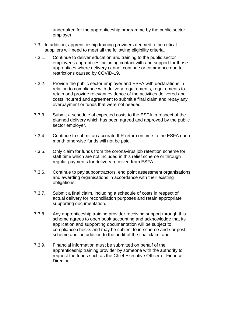undertaken for the apprenticeship programme by the public sector employer.

- 7.3. In addition, apprenticeship training providers deemed to be critical suppliers will need to meet all the following eligibility criteria.
- 7.3.1. Continue to deliver education and training to the public sector employer's apprentices including contact with and support for those apprentices where delivery cannot continue or commence due to restrictions caused by COVID-19.
- 7.3.2. Provide the public sector employer and ESFA with declarations in relation to compliance with delivery requirements, requirements to retain and provide relevant evidence of the activities delivered and costs incurred and agreement to submit a final claim and repay any overpayment or funds that were not needed.
- 7.3.3. Submit a schedule of expected costs to the ESFA in respect of the planned delivery which has been agreed and approved by the public sector employer.
- 7.3.4. Continue to submit an accurate ILR return on time to the ESFA each month otherwise funds will not be paid.
- 7.3.5. Only claim for funds from the coronavirus job retention scheme for staff time which are not included in this relief scheme or through regular payments for delivery received from ESFA.
- 7.3.6. Continue to pay subcontractors, end point assessment organisations and awarding organisations in accordance with their existing obligations.
- 7.3.7. Submit a final claim, including a schedule of costs in respect of actual delivery for reconciliation purposes and retain appropriate supporting documentation.
- 7.3.8. Any apprenticeship training provider receiving support through this scheme agrees to open book accounting and acknowledge that its application and supporting documentation will be subject to compliance checks and may be subject to in-scheme and / or post scheme audit in addition to the audit of the final claim; and
- 7.3.9. Financial information must be submitted on behalf of the apprenticeship training provider by someone with the authority to request the funds such as the Chief Executive Officer or Finance Director.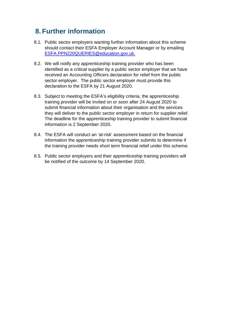## <span id="page-12-0"></span>**8. Further information**

- 8.1. Public sector employers wanting further information about this scheme should contact their ESFA Employer Account Manager or by emailing [ESFA.PPN220QUERIES@education.gov.uk.](mailto:ESFA.PPN220QUERIES@education.gov.uk)
- 8.2. We will notify any apprenticeship training provider who has been identified as a critical supplier by a public sector employer that we have received an Accounting Officers declaration for relief from the public sector employer. The public sector employer must provide this declaration to the ESFA by 21 August 2020.
- 8.3. Subject to meeting the ESFA's eligibility criteria, the apprenticeship training provider will be invited on or soon after 24 August 2020 to submit financial information about their organisation and the services they will deliver to the public sector employer in return for supplier relief. The deadline for the apprenticeship training provider to submit financial information is 2 September 2020.
- 8.4. The ESFA will conduct an 'at-risk' assessment based on the financial information the apprenticeship training provider submits to determine if the training provider needs short term financial relief under this scheme.
- 8.5. Public sector employers and their apprenticeship training providers will be notified of the outcome by 14 September 2020.